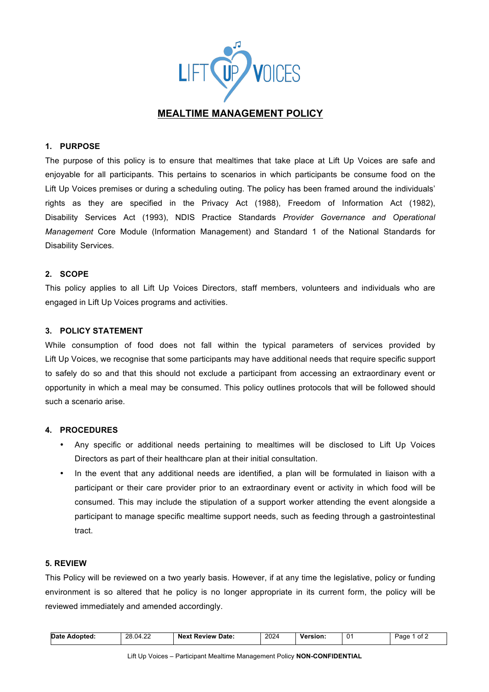

## **1. PURPOSE**

The purpose of this policy is to ensure that mealtimes that take place at Lift Up Voices are safe and enjoyable for all participants. This pertains to scenarios in which participants be consume food on the Lift Up Voices premises or during a scheduling outing. The policy has been framed around the individuals' rights as they are specified in the Privacy Act (1988), Freedom of Information Act (1982), Disability Services Act (1993), NDIS Practice Standards *Provider Governance and Operational Management* Core Module (Information Management) and Standard 1 of the National Standards for Disability Services.

#### **2. SCOPE**

This policy applies to all Lift Up Voices Directors, staff members, volunteers and individuals who are engaged in Lift Up Voices programs and activities.

#### **3. POLICY STATEMENT**

While consumption of food does not fall within the typical parameters of services provided by Lift Up Voices, we recognise that some participants may have additional needs that require specific support to safely do so and that this should not exclude a participant from accessing an extraordinary event or opportunity in which a meal may be consumed. This policy outlines protocols that will be followed should such a scenario arise.

#### **4. PROCEDURES**

- Any specific or additional needs pertaining to mealtimes will be disclosed to Lift Up Voices Directors as part of their healthcare plan at their initial consultation.
- In the event that any additional needs are identified, a plan will be formulated in liaison with a participant or their care provider prior to an extraordinary event or activity in which food will be consumed. This may include the stipulation of a support worker attending the event alongside a participant to manage specific mealtime support needs, such as feeding through a gastrointestinal tract.

### **5. REVIEW**

This Policy will be reviewed on a two yearly basis. However, if at any time the legislative, policy or funding environment is so altered that he policy is no longer appropriate in its current form, the policy will be reviewed immediately and amended accordingly.

| Date<br>: Adopted: | 28.04.22<br>___ | <b>Next Review Date:</b> | 2024<br>____ | <b>Version:</b><br>____ | 0 <sup>1</sup> | * of ∠<br>Page |
|--------------------|-----------------|--------------------------|--------------|-------------------------|----------------|----------------|